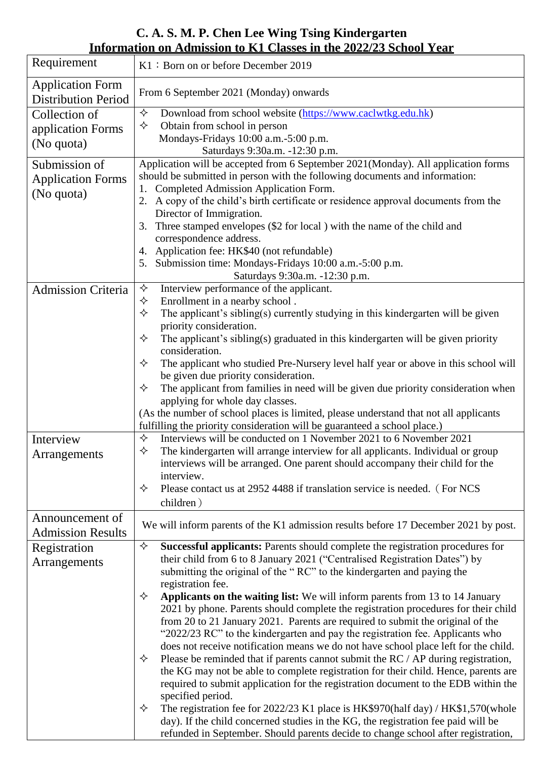**C. A. S. M. P. Chen Lee Wing Tsing Kindergarten Information on Admission to K1 Classes in the 2022/23 School Year**

| Requirement                                           | K1: Born on or before December 2019                                                                                                                                                                                                                        |
|-------------------------------------------------------|------------------------------------------------------------------------------------------------------------------------------------------------------------------------------------------------------------------------------------------------------------|
| <b>Application Form</b><br><b>Distribution Period</b> | From 6 September 2021 (Monday) onwards                                                                                                                                                                                                                     |
| Collection of                                         | ✧<br>Download from school website (https://www.caclwtkg.edu.hk)                                                                                                                                                                                            |
| application Forms                                     | ✧<br>Obtain from school in person                                                                                                                                                                                                                          |
| (No quota)                                            | Mondays-Fridays 10:00 a.m.-5:00 p.m.                                                                                                                                                                                                                       |
|                                                       | Saturdays 9:30a.m. -12:30 p.m.                                                                                                                                                                                                                             |
| Submission of                                         | Application will be accepted from 6 September 2021(Monday). All application forms                                                                                                                                                                          |
| <b>Application Forms</b>                              | should be submitted in person with the following documents and information:                                                                                                                                                                                |
| (No quota)                                            | Completed Admission Application Form.<br>2. A copy of the child's birth certificate or residence approval documents from the                                                                                                                               |
|                                                       | Director of Immigration.                                                                                                                                                                                                                                   |
|                                                       | Three stamped envelopes (\$2 for local) with the name of the child and<br>3.                                                                                                                                                                               |
|                                                       | correspondence address.                                                                                                                                                                                                                                    |
|                                                       | 4. Application fee: HK\$40 (not refundable)                                                                                                                                                                                                                |
|                                                       | Submission time: Mondays-Fridays 10:00 a.m.-5:00 p.m.                                                                                                                                                                                                      |
|                                                       | Saturdays 9:30a.m. -12:30 p.m.                                                                                                                                                                                                                             |
| <b>Admission Criteria</b>                             | Interview performance of the applicant.<br>✧                                                                                                                                                                                                               |
|                                                       | ✧<br>Enrollment in a nearby school.                                                                                                                                                                                                                        |
|                                                       | ✧<br>The applicant's sibling(s) currently studying in this kindergarten will be given                                                                                                                                                                      |
|                                                       | priority consideration.                                                                                                                                                                                                                                    |
|                                                       | ✧<br>The applicant's sibling(s) graduated in this kindergarten will be given priority<br>consideration.                                                                                                                                                    |
|                                                       | The applicant who studied Pre-Nursery level half year or above in this school will<br>✧                                                                                                                                                                    |
|                                                       | be given due priority consideration.                                                                                                                                                                                                                       |
|                                                       | The applicant from families in need will be given due priority consideration when<br>✧                                                                                                                                                                     |
|                                                       | applying for whole day classes.                                                                                                                                                                                                                            |
|                                                       | (As the number of school places is limited, please understand that not all applicants                                                                                                                                                                      |
|                                                       | fulfilling the priority consideration will be guaranteed a school place.)                                                                                                                                                                                  |
| Interview                                             | Interviews will be conducted on 1 November 2021 to 6 November 2021<br>✧                                                                                                                                                                                    |
| Arrangements                                          | ✧<br>The kindergarten will arrange interview for all applicants. Individual or group                                                                                                                                                                       |
|                                                       | interviews will be arranged. One parent should accompany their child for the                                                                                                                                                                               |
|                                                       | interview.                                                                                                                                                                                                                                                 |
|                                                       | Please contact us at 2952 4488 if translation service is needed. (For NCS<br>✧                                                                                                                                                                             |
|                                                       | children)                                                                                                                                                                                                                                                  |
| Announcement of                                       | We will inform parents of the K1 admission results before 17 December 2021 by post.                                                                                                                                                                        |
| <b>Admission Results</b>                              |                                                                                                                                                                                                                                                            |
| Registration                                          | Successful applicants: Parents should complete the registration procedures for<br>✧                                                                                                                                                                        |
| Arrangements                                          | their child from 6 to 8 January 2021 ("Centralised Registration Dates") by                                                                                                                                                                                 |
|                                                       | submitting the original of the "RC" to the kindergarten and paying the                                                                                                                                                                                     |
|                                                       | registration fee.                                                                                                                                                                                                                                          |
|                                                       | Applicants on the waiting list: We will inform parents from 13 to 14 January<br>✧                                                                                                                                                                          |
|                                                       | 2021 by phone. Parents should complete the registration procedures for their child<br>from 20 to 21 January 2021. Parents are required to submit the original of the                                                                                       |
|                                                       | "2022/23 RC" to the kindergarten and pay the registration fee. Applicants who                                                                                                                                                                              |
|                                                       | does not receive notification means we do not have school place left for the child.                                                                                                                                                                        |
|                                                       | Please be reminded that if parents cannot submit the RC / AP during registration,<br>✧                                                                                                                                                                     |
|                                                       | the KG may not be able to complete registration for their child. Hence, parents are                                                                                                                                                                        |
|                                                       | required to submit application for the registration document to the EDB within the                                                                                                                                                                         |
|                                                       | specified period.                                                                                                                                                                                                                                          |
|                                                       | ✧                                                                                                                                                                                                                                                          |
|                                                       |                                                                                                                                                                                                                                                            |
|                                                       | The registration fee for 2022/23 K1 place is HK\$970(half day) / HK\$1,570(whole<br>day). If the child concerned studies in the KG, the registration fee paid will be<br>refunded in September. Should parents decide to change school after registration, |